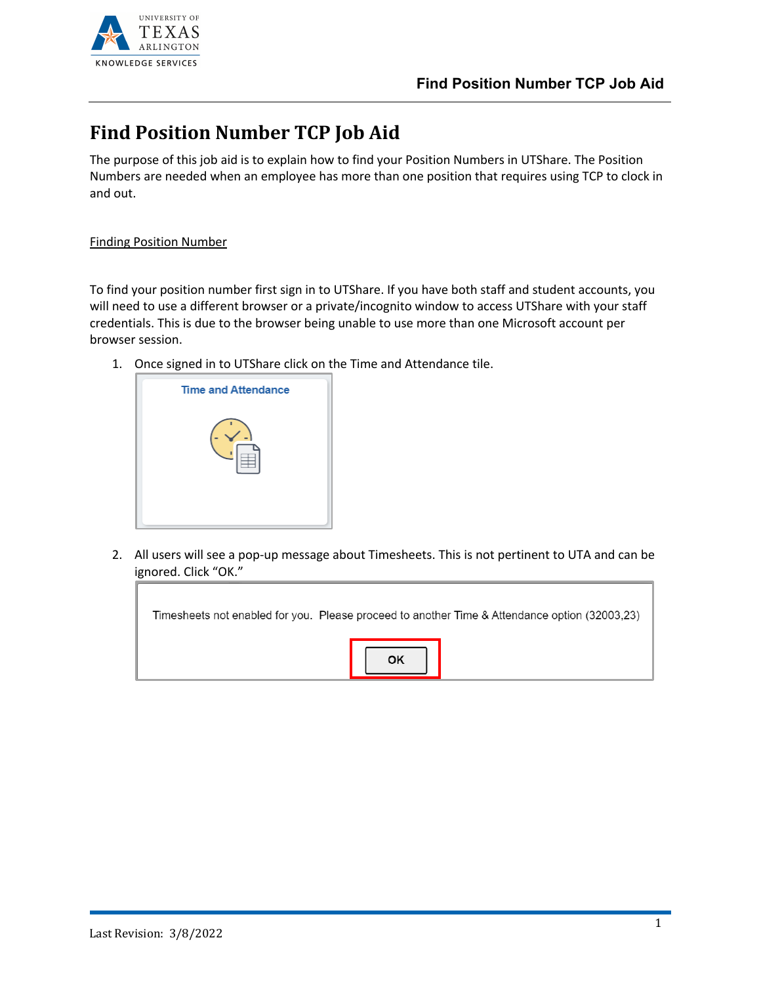

## **Find Position Number TCP Job Aid**

The purpose of this job aid is to explain how to find your Position Numbers in UTShare. The Position Numbers are needed when an employee has more than one position that requires using TCP to clock in and out.

## Finding Position Number

To find your position number first sign in to UTShare. If you have both staff and student accounts, you will need to use a different browser or a private/incognito window to access UTShare with your staff credentials. This is due to the browser being unable to use more than one Microsoft account per browser session.

1. Once signed in to UTShare click on the Time and Attendance tile.



2. All users will see a pop-up message about Timesheets. This is not pertinent to UTA and can be ignored. Click "OK."

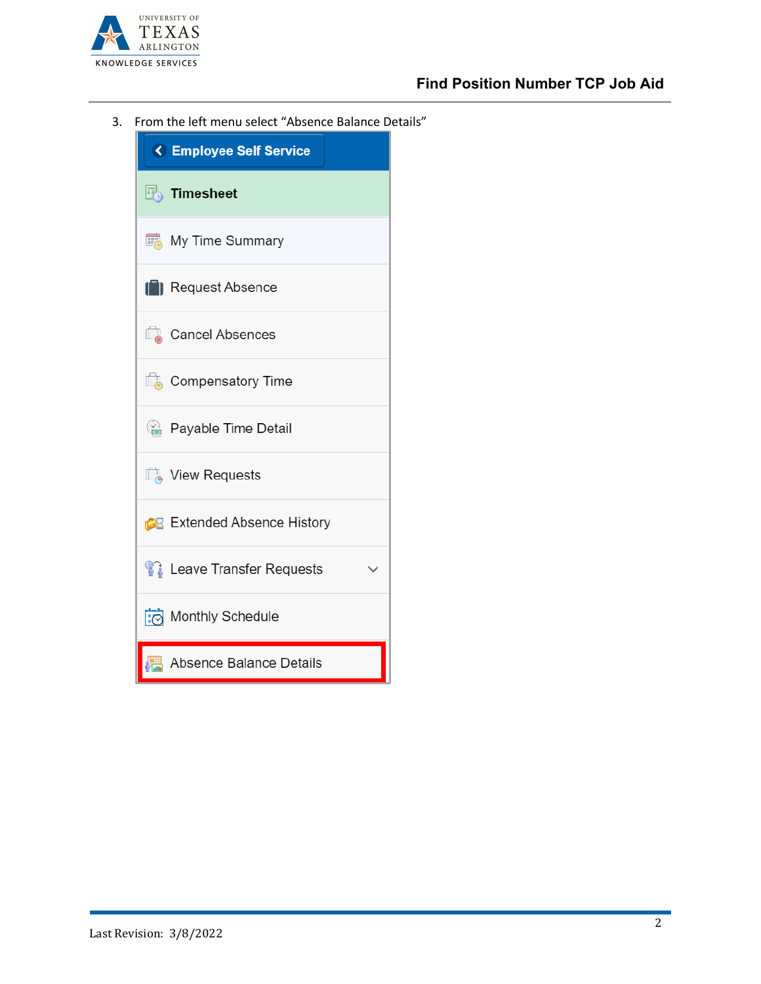

## **Find Position Number TCP Job Aid**

3. From the left menu select "Absence Balance Details"